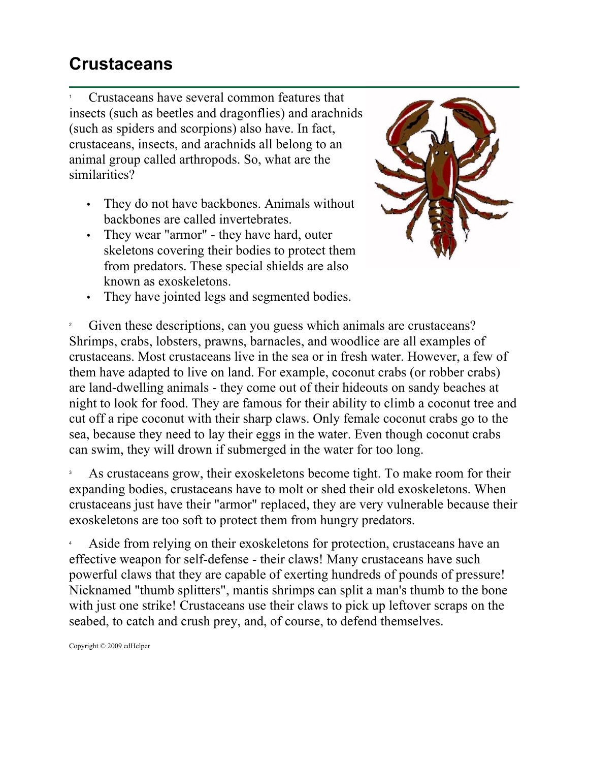## **Crustaceans**

1 Crustaceans have several common features that insects (such as beetles and dragonflies) and arachnids (such as spiders and scorpions) also have. In fact, crustaceans, insects, and arachnids all belong to an animal group called arthropods. So, what are the similarities?

- They do not have backbones. Animals without backbones are called invertebrates.
- They wear "armor" they have hard, outer skeletons covering their bodies to protect them from predators. These special shields are also known as exoskeletons.



• They have jointed legs and segmented bodies.

2 Given these descriptions, can you guess which animals are crustaceans? Shrimps, crabs, lobsters, prawns, barnacles, and woodlice are all examples of crustaceans. Most crustaceans live in the sea or in fresh water. However, a few of them have adapted to live on land. For example, coconut crabs (or robber crabs) are land-dwelling animals - they come out of their hideouts on sandy beaches at night to look for food. They are famous for their ability to climb a coconut tree and cut off a ripe coconut with their sharp claws. Only female coconut crabs go to the sea, because they need to lay their eggs in the water. Even though coconut crabs can swim, they will drown if submerged in the water for too long.

3 As crustaceans grow, their exoskeletons become tight. To make room for their expanding bodies, crustaceans have to molt or shed their old exoskeletons. When crustaceans just have their "armor" replaced, they are very vulnerable because their exoskeletons are too soft to protect them from hungry predators.

4 Aside from relying on their exoskeletons for protection, crustaceans have an effective weapon for self-defense - their claws! Many crustaceans have such powerful claws that they are capable of exerting hundreds of pounds of pressure! Nicknamed "thumb splitters", mantis shrimps can split a man's thumb to the bone with just one strike! Crustaceans use their claws to pick up leftover scraps on the seabed, to catch and crush prey, and, of course, to defend themselves.

Copyright © 2009 edHelper